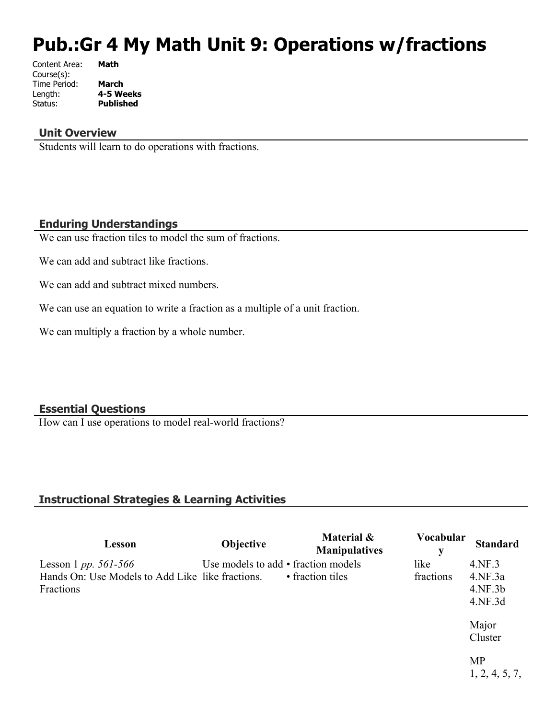# **Pub.:Gr 4 My Math Unit 9: Operations w/fractions**

| Content Area: | Math             |
|---------------|------------------|
| Course(s):    |                  |
| Time Period:  | <b>March</b>     |
| Length:       | 4-5 Weeks        |
| Status:       | <b>Published</b> |
|               |                  |

#### **Unit Overview**

Students will learn to do operations with fractions.

## **Enduring Understandings**

We can use fraction tiles to model the sum of fractions.

We can add and subtract like fractions.

We can add and subtract mixed numbers.

We can use an equation to write a fraction as a multiple of a unit fraction.

We can multiply a fraction by a whole number.

## **Essential Questions**

How can I use operations to model real-world fractions?

## **Instructional Strategies & Learning Activities**

| Lesson                                                                                           | <b>Objective</b>                    | Material &<br><b>Manipulatives</b> | <b>Vocabular</b><br>у | <b>Standard</b>                         |
|--------------------------------------------------------------------------------------------------|-------------------------------------|------------------------------------|-----------------------|-----------------------------------------|
| Lesson 1 <i>pp.</i> $561 - 566$<br>Hands On: Use Models to Add Like like fractions.<br>Fractions | Use models to add • fraction models | • fraction tiles                   | like<br>fractions     | 4.NF.3<br>4.NF.3a<br>4.NF.3b<br>4.NF.3d |
|                                                                                                  |                                     |                                    |                       | Major<br>Cluster                        |
|                                                                                                  |                                     |                                    |                       | <b>MP</b><br>1, 2, 4, 5, 7,             |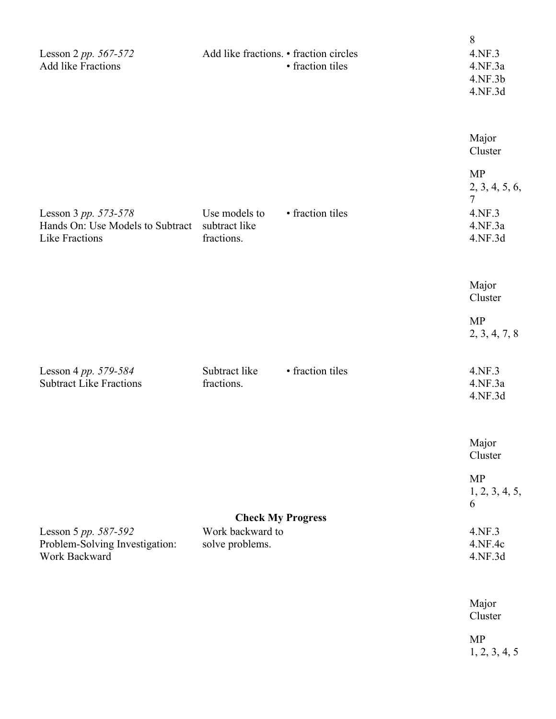| Lesson 2 pp. 567-572<br>Add like Fractions                                        | Add like fractions. • fraction circles                          | • fraction tiles | 8<br>4.NF.3<br>4.NF.3a<br>4.NF.3b<br>4.NF.3d                                              |
|-----------------------------------------------------------------------------------|-----------------------------------------------------------------|------------------|-------------------------------------------------------------------------------------------|
| Lesson 3 pp. 573-578<br>Hands On: Use Models to Subtract<br><b>Like Fractions</b> | Use models to<br>subtract like<br>fractions.                    | • fraction tiles | Major<br>Cluster<br><b>MP</b><br>2, 3, 4, 5, 6,<br>$\tau$<br>4.NF.3<br>4.NF.3a<br>4.NF.3d |
|                                                                                   |                                                                 |                  | Major<br>Cluster<br><b>MP</b><br>2, 3, 4, 7, 8                                            |
| Lesson 4 pp. 579-584<br><b>Subtract Like Fractions</b>                            | Subtract like<br>fractions.                                     | • fraction tiles | 4.NF.3<br>4.NF.3a<br>4.NF.3d                                                              |
| Lesson 5 pp. 587-592<br>Problem-Solving Investigation:<br>Work Backward           | <b>Check My Progress</b><br>Work backward to<br>solve problems. |                  | Major<br>Cluster<br><b>MP</b><br>1, 2, 3, 4, 5,<br>6<br>4.NF.3<br>4.NF.4c<br>4.NF.3d      |
|                                                                                   |                                                                 |                  | Major<br>Cluster<br><b>MP</b><br>1, 2, 3, 4, 5                                            |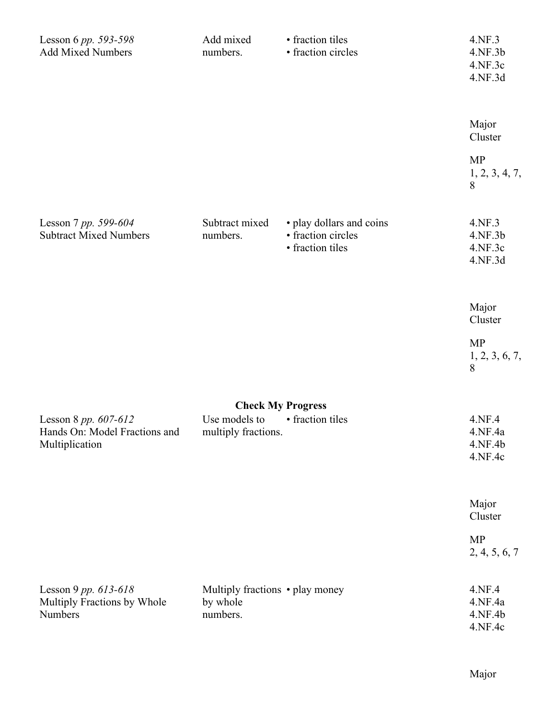| Lesson 6 pp. 593-598<br><b>Add Mixed Numbers</b>                        | Add mixed<br>numbers.                                   | • fraction tiles<br>• fraction circles                             | 4.NF.3<br>4.NF.3b<br>4.NF.3c<br>4.NF.3d |
|-------------------------------------------------------------------------|---------------------------------------------------------|--------------------------------------------------------------------|-----------------------------------------|
|                                                                         |                                                         |                                                                    | Major<br>Cluster                        |
|                                                                         |                                                         |                                                                    | <b>MP</b><br>1, 2, 3, 4, 7,<br>8        |
| Lesson 7 pp. 599-604<br><b>Subtract Mixed Numbers</b>                   | Subtract mixed<br>numbers.                              | · play dollars and coins<br>• fraction circles<br>· fraction tiles | 4.NF.3<br>4.NF.3b<br>4.NF.3c<br>4.NF.3d |
|                                                                         |                                                         |                                                                    | Major<br>Cluster                        |
|                                                                         |                                                         |                                                                    | <b>MP</b><br>1, 2, 3, 6, 7,<br>8        |
|                                                                         | <b>Check My Progress</b>                                |                                                                    |                                         |
| Lesson 8 pp. 607-612<br>Hands On: Model Fractions and<br>Multiplication | Use models to<br>multiply fractions.                    | • fraction tiles                                                   | 4.NF.4<br>4.NF.4a<br>4.NF.4b<br>4.NF.4c |
|                                                                         |                                                         |                                                                    | Major<br>Cluster                        |
|                                                                         |                                                         |                                                                    | <b>MP</b><br>2, 4, 5, 6, 7              |
| Lesson 9 pp. 613-618<br>Multiply Fractions by Whole<br>Numbers          | Multiply fractions • play money<br>by whole<br>numbers. |                                                                    | 4.NF.4<br>4.NF.4a<br>4.NF.4b<br>4.NF.4c |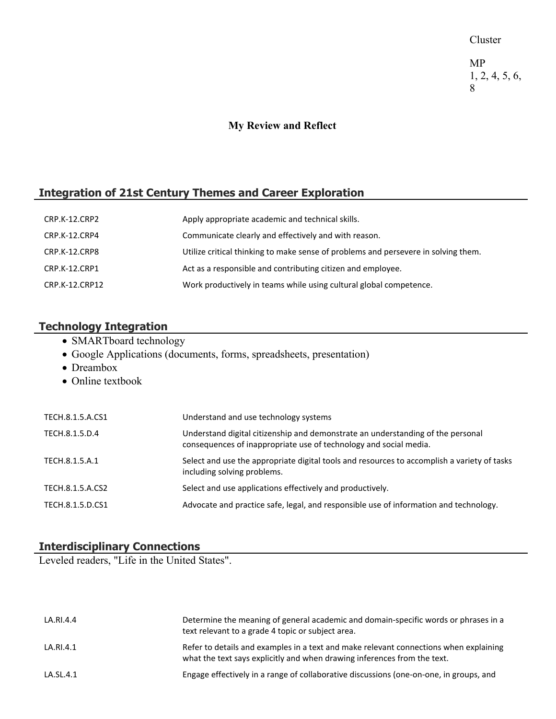Cluster

MP 1, 2, 4, 5, 6, 8

## **My Review and Reflect**

## **Integration of 21st Century Themes and Career Exploration**

| CRP.K-12.CRP2  | Apply appropriate academic and technical skills.                                   |
|----------------|------------------------------------------------------------------------------------|
| CRP.K-12.CRP4  | Communicate clearly and effectively and with reason.                               |
| CRP.K-12.CRP8  | Utilize critical thinking to make sense of problems and persevere in solving them. |
| CRP.K-12.CRP1  | Act as a responsible and contributing citizen and employee.                        |
| CRP.K-12.CRP12 | Work productively in teams while using cultural global competence.                 |

## **Technology Integration**

- SMARTboard technology
- Google Applications (documents, forms, spreadsheets, presentation)
- Dreambox
- Online textbook

| TECH.8.1.5.A.CS1 | Understand and use technology systems                                                                                                                |
|------------------|------------------------------------------------------------------------------------------------------------------------------------------------------|
| TECH.8.1.5.D.4   | Understand digital citizenship and demonstrate an understanding of the personal<br>consequences of inappropriate use of technology and social media. |
| TECH.8.1.5.A.1   | Select and use the appropriate digital tools and resources to accomplish a variety of tasks<br>including solving problems.                           |
| TECH.8.1.5.A.CS2 | Select and use applications effectively and productively.                                                                                            |
| TECH.8.1.5.D.CS1 | Advocate and practice safe, legal, and responsible use of information and technology.                                                                |

## **Interdisciplinary Connections**

Leveled readers, "Life in the United States".

| LA.RI.4.4 | Determine the meaning of general academic and domain-specific words or phrases in a<br>text relevant to a grade 4 topic or subject area.                          |
|-----------|-------------------------------------------------------------------------------------------------------------------------------------------------------------------|
| LA.RI.4.1 | Refer to details and examples in a text and make relevant connections when explaining<br>what the text says explicitly and when drawing inferences from the text. |
| LA.SL.4.1 | Engage effectively in a range of collaborative discussions (one-on-one, in groups, and                                                                            |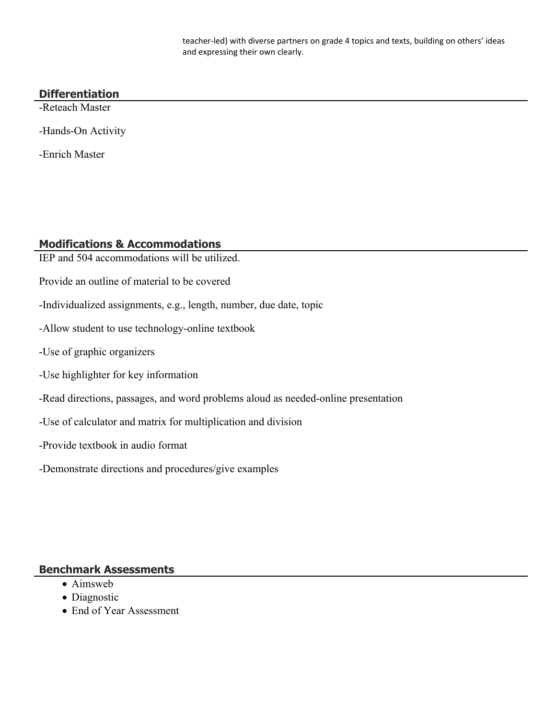teacher-led) with diverse partners on grade 4 topics and texts, building on others' ideas and expressing their own clearly.

## **Differentiation**

-Reteach Master

-Hands-On Activity

-Enrich Master

#### **Modifications & Accommodations**

- IEP and 504 accommodations will be utilized.
- Provide an outline of material to be covered
- -Individualized assignments, e.g., length, number, due date, topic
- -Allow student to use technology-online textbook
- -Use of graphic organizers
- -Use highlighter for key information
- -Read directions, passages, and word problems aloud as needed-online presentation
- -Use of calculator and matrix for multiplication and division
- -Provide textbook in audio format
- -Demonstrate directions and procedures/give examples

#### **Benchmark Assessments**

- Aimsweb
- Diagnostic
- End of Year Assessment